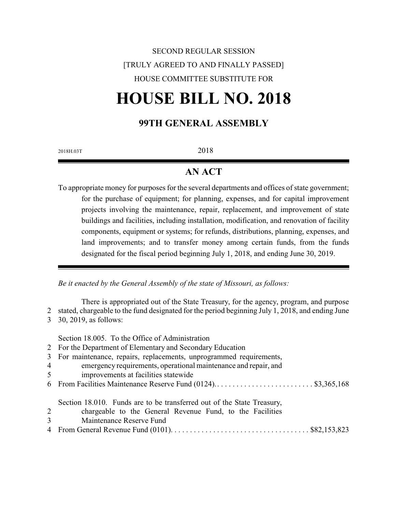## SECOND REGULAR SESSION [TRULY AGREED TO AND FINALLY PASSED] HOUSE COMMITTEE SUBSTITUTE FOR

# **HOUSE BILL NO. 2018**

#### **99TH GENERAL ASSEMBLY**

2018H.03T 2018

### **AN ACT**

To appropriate money for purposes for the several departments and offices of state government; for the purchase of equipment; for planning, expenses, and for capital improvement projects involving the maintenance, repair, replacement, and improvement of state buildings and facilities, including installation, modification, and renovation of facility components, equipment or systems; for refunds, distributions, planning, expenses, and land improvements; and to transfer money among certain funds, from the funds designated for the fiscal period beginning July 1, 2018, and ending June 30, 2019.

*Be it enacted by the General Assembly of the state of Missouri, as follows:*

There is appropriated out of the State Treasury, for the agency, program, and purpose 2 stated, chargeable to the fund designated for the period beginning July 1, 2018, and ending June 3 30, 2019, as follows:

Section 18.005. To the Office of Administration

- 2 For the Department of Elementary and Secondary Education
- 3 For maintenance, repairs, replacements, unprogrammed requirements,
- 4 emergency requirements, operational maintenance and repair, and
- 5 improvements at facilities statewide
- 6 From Facilities Maintenance Reserve Fund (0124).. . . . . . . . . . . . . . . . . . . . . . . . . \$3,365,168

Section 18.010. Funds are to be transferred out of the State Treasury,

- 2 chargeable to the General Revenue Fund, to the Facilities
- 3 Maintenance Reserve Fund
- 4 From General Revenue Fund (0101). . . . . . . . . . . . . . . . . . . . . . . . . . . . . . . . . . . . \$82,153,823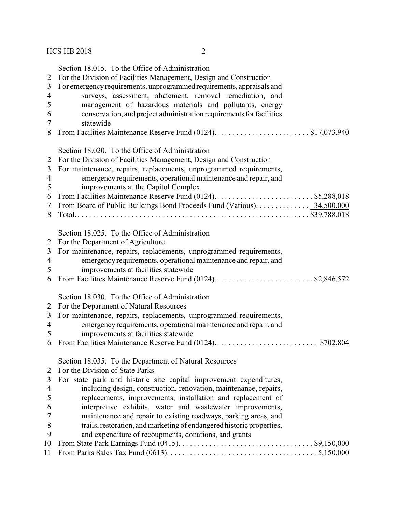- surveys, assessment, abatement, removal remediation, and management of hazardous materials and pollutants, energy 6 conservation, and project administration requirements for facilities
- statewide
- 8 From Facilities Maintenance Reserve Fund (0124)...............................\$17,073,940

Section 18.020. To the Office of Administration

|  | 2 For the Division of Facilities Management, Design and Construction                  |
|--|---------------------------------------------------------------------------------------|
|  | $\gamma$ . The contraction is constant confidence and contract contract functions and |

- For maintenance, repairs, replacements, unprogrammed requirements, emergency requirements, operational maintenance and repair, and
- improvements at the Capitol Complex
- From Facilities Maintenance Reserve Fund (0124).. . . . . . . . . . . . . . . . . . . . . . . . . \$5,288,018 From Board of Public Buildings Bond Proceeds Fund (Various). . . . . . . . . . . . . . 34,500,000 Total. . . . . . . . . . . . . . . . . . . . . . . . . . . . . . . . . . . . . . . . . . . . . . . . . . . . . . . . . . . . . \$39,788,018

Section 18.025. To the Office of Administration

- For the Department of Agriculture
- For maintenance, repairs, replacements, unprogrammed requirements,
- emergency requirements, operational maintenance and repair, and
- improvements at facilities statewide
- From Facilities Maintenance Reserve Fund (0124).. . . . . . . . . . . . . . . . . . . . . . . . . \$2,846,572

Section 18.030. To the Office of Administration

- For the Department of Natural Resources
- For maintenance, repairs, replacements, unprogrammed requirements,
- emergency requirements, operational maintenance and repair, and
- improvements at facilities statewide
- From Facilities Maintenance Reserve Fund (0124).. . . . . . . . . . . . . . . . . . . . . . . . . . \$702,804

Section 18.035. To the Department of Natural Resources

- For the Division of State Parks
- For state park and historic site capital improvement expenditures, including design, construction, renovation, maintenance, repairs, replacements, improvements, installation and replacement of interpretive exhibits, water and wastewater improvements, 7 maintenance and repair to existing roadways, parking areas, and<br>8 trails, restoration, and marketing of endangered historic properties. trails, restoration, and marketing of endangered historic properties, and expenditure of recoupments, donations, and grants From State Park Earnings Fund (0415). . . . . . . . . . . . . . . . . . . . . . . . . . . . . . . . . . . \$9,150,000 From Parks Sales Tax Fund (0613). . . . . . . . . . . . . . . . . . . . . . . . . . . . . . . . . . . . . . . 5,150,000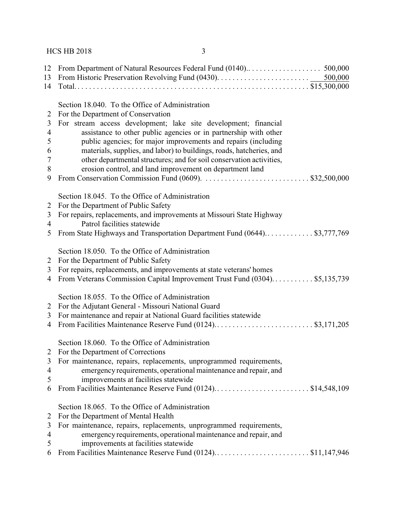#### HCS HB 2018 3

| 12<br>13 |                                                                            |
|----------|----------------------------------------------------------------------------|
| 14       |                                                                            |
|          | Section 18.040. To the Office of Administration                            |
| 2        | For the Department of Conservation                                         |
| 3        | For stream access development; lake site development; financial            |
| 4        | assistance to other public agencies or in partnership with other           |
| 5        | public agencies; for major improvements and repairs (including             |
| 6        | materials, supplies, and labor) to buildings, roads, hatcheries, and       |
| 7        | other departmental structures; and for soil conservation activities,       |
| 8        | erosion control, and land improvement on department land                   |
| 9        |                                                                            |
|          | Section 18.045. To the Office of Administration                            |
| 2        | For the Department of Public Safety                                        |
| 3        | For repairs, replacements, and improvements at Missouri State Highway      |
| 4        | Patrol facilities statewide                                                |
| 5        | From State Highways and Transportation Department Fund (0644)\$3,777,769   |
|          |                                                                            |
|          | Section 18.050. To the Office of Administration                            |
| 2        | For the Department of Public Safety                                        |
| 3        | For repairs, replacements, and improvements at state veterans' homes       |
| 4        | From Veterans Commission Capital Improvement Trust Fund (0304) \$5,135,739 |
|          | Section 18.055. To the Office of Administration                            |
| 2        | For the Adjutant General - Missouri National Guard                         |
| 3        | For maintenance and repair at National Guard facilities statewide          |
| 4        | From Facilities Maintenance Reserve Fund (0124)\$3,171,205                 |
|          | Section 18.060. To the Office of Administration                            |
| 2        | For the Department of Corrections                                          |
| 3        | For maintenance, repairs, replacements, unprogrammed requirements,         |
| 4        | emergency requirements, operational maintenance and repair, and            |
| 5        | improvements at facilities statewide                                       |
| 6        | From Facilities Maintenance Reserve Fund (0124)\$14,548,109                |
|          | Section 18.065. To the Office of Administration                            |
| 2        | For the Department of Mental Health                                        |
| 3        | For maintenance, repairs, replacements, unprogrammed requirements,         |
| 4        | emergency requirements, operational maintenance and repair, and            |
| 5        | improvements at facilities statewide                                       |
| 6        | From Facilities Maintenance Reserve Fund (0124)\$11,147,946                |